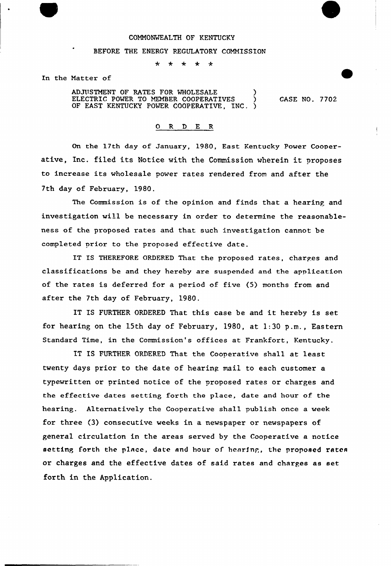## COMMONWEALTH OF KENTUCKY

## BEFORE THE ENERGY REGULATORY COMMISSION

 $\star$  $\star$  $\star$  $\star$ 

In the Matter of

ADJUSTMENT OF RATES FOR WHOLESALE ELECTRIC POWER TO MEMBER COOPERATIVES OF EAST KENTUCKY POWER COOPERATIVE, INC.

CASE NO. 7702

## O R D E R

On the 17th day of January, 1980, East Kentucky Power Cooperative, Inc. filed its Notice with the Commission wherein it proposes to increase its wholesale power rates rendered from and after the 7th day of February, 1980.

The Commission is of the opinion and finds that a hearing and investigation will be necessary in order to determine the reasonableness of the proposed rates and that such investigation cannot be completed prior to the proposed effective date.

IT IS THEREFORE ORDFRED That the proposed rates, charges and classifications be and they hereby are suspended and the application of the rates is deferred for a period of five (5) months from and after the 7th day of February, 1980.

IT IS FURTHER ORDERED That this case be and it hereby is set for hearing on the 15th day of February, 1980, at 1:30 p.m., Eastern Standard Time, in the Commission's offices at Frankfort, Kentucky.

IT IS FURTHER ORDERED That the Cooperative shall at least twenty days prior to the date of hearing mail to each customer a typewritten or printed notice of the proposed rates or charges and the effective dates setting forth the place, date and hour of the hearing. Alternatively the Cooperative shall publish once a week for three (3) consecutive weeks in a newspaper or newspapers of general circulation in the areas served by the Cooperative a notice setting forth the place, date and hour of henrfnp, the proposed rates or charges and the effective dates of said rates and charges as set forth in the Application.